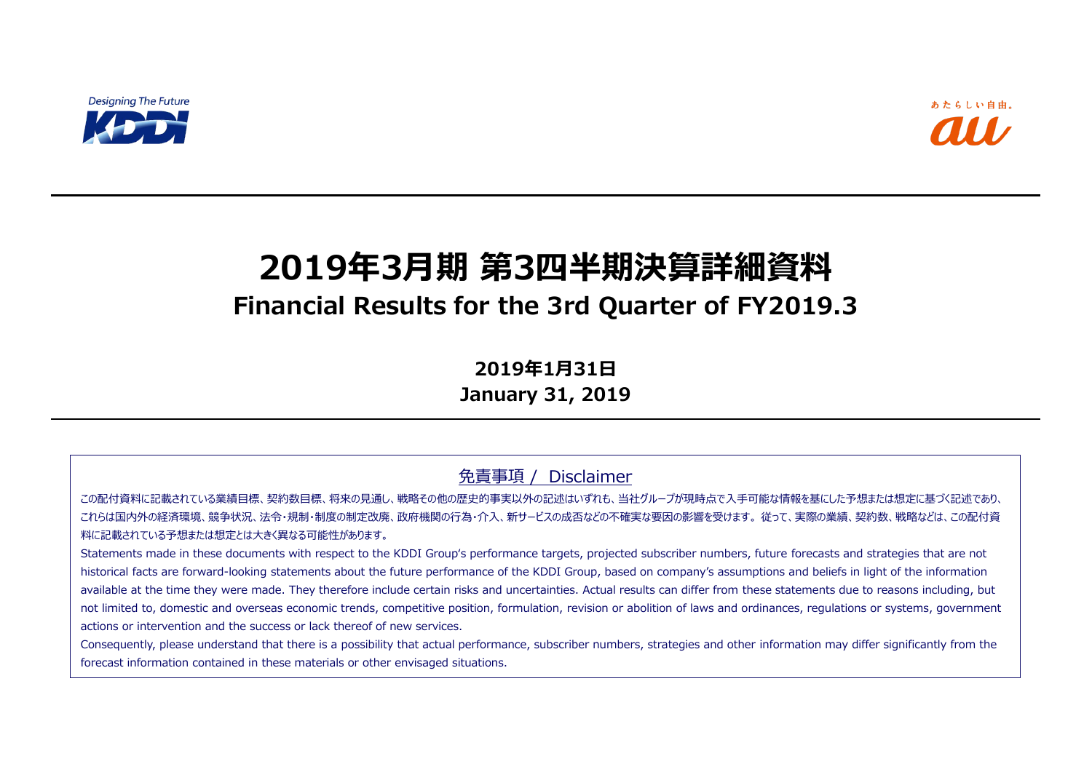

# **2019年3月期 第3四半期決算詳細資料 Financial Results for the 3rd Quarter of FY2019.3**

**2019年1月31日 January 31, 2019**

免責事項 / Disclaimer

この配付資料に記載されている業績目標、契約数目標、将来の見通し、戦略その他の歴史的事実以外の記述はいずれも、当社グループが現時点で入手可能な情報を基にした予想または想定に基づく記述であり、 これらは国内外の経済環境、競争状況、法令・規制・制度の制定改廃、政府機関の行為・介入、新サービスの成否などの不確実な要因の影響を受けます。 従って、実際の業績、契約数、戦略などは、この配付資 料に記載されている予想または想定とは大きく異なる可能性があります。

Statements made in these documents with respect to the KDDI Group's performance targets, projected subscriber numbers, future forecasts and strategies that are not historical facts are forward-looking statements about the future performance of the KDDI Group, based on company's assumptions and beliefs in light of the information available at the time they were made. They therefore include certain risks and uncertainties. Actual results can differ from these statements due to reasons including, but not limited to, domestic and overseas economic trends, competitive position, formulation, revision or abolition of laws and ordinances, regulations or systems, government actions or intervention and the success or lack thereof of new services.

Consequently, please understand that there is a possibility that actual performance, subscriber numbers, strategies and other information may differ significantly from the forecast information contained in these materials or other envisaged situations.

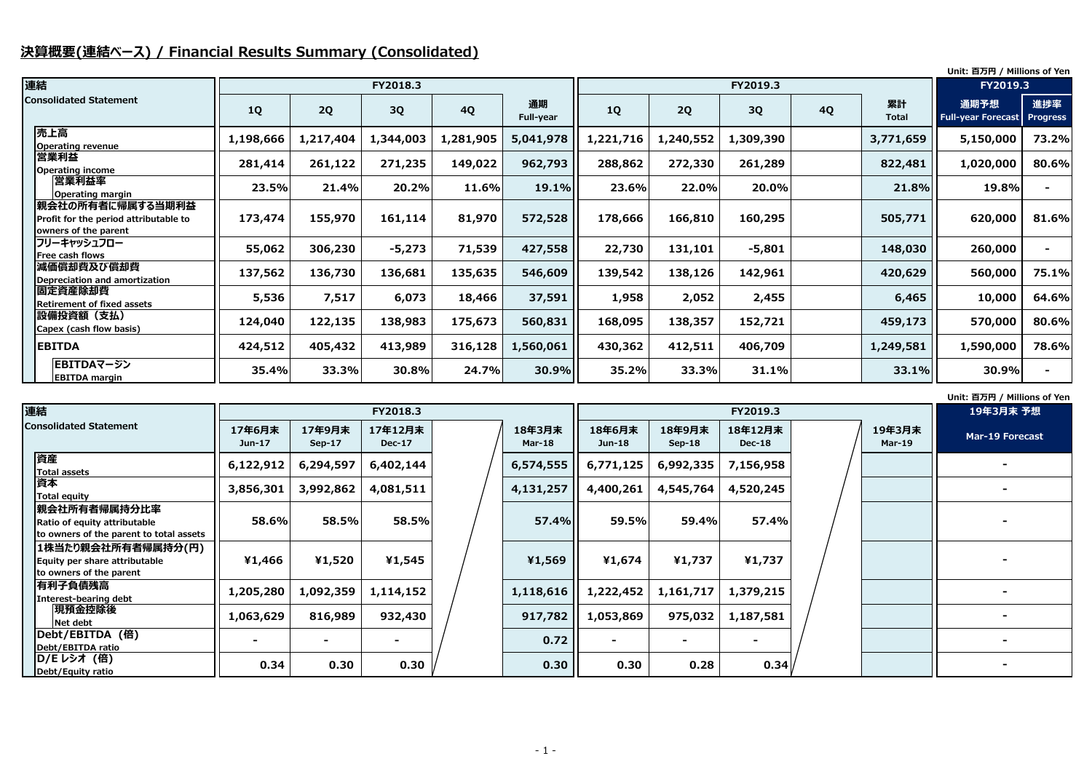# **決算概要(連結ベース) / Financial Results Summary (Consolidated)**

### **Unit: 百万円 / Millions of Yen**

|                                                                                   |           |           |           |           |                        |           |           |           |           |                    | Unit: 百万円 / Millions of Yen       |                        |
|-----------------------------------------------------------------------------------|-----------|-----------|-----------|-----------|------------------------|-----------|-----------|-----------|-----------|--------------------|-----------------------------------|------------------------|
| 連結                                                                                |           |           | FY2018.3  |           |                        |           |           | FY2019.3  |           |                    | FY2019.3                          |                        |
| <b>Consolidated Statement</b>                                                     | <b>1Q</b> | 2Q        | 3Q        | <b>4Q</b> | 通期<br><b>Full-year</b> | <b>1Q</b> | 2Q        | 3Q        | <b>4Q</b> | 累計<br><b>Total</b> | 通期予想<br><b>Full-year Forecast</b> | 進捗率<br><b>Progress</b> |
| 売上高<br><b>Operating revenue</b>                                                   | 1,198,666 | 1,217,404 | 1,344,003 | 1,281,905 | 5,041,978              | 1,221,716 | 1,240,552 | 1,309,390 |           | 3,771,659          | 5,150,000                         | 73.2%                  |
| 営業利益<br><b>Operating income</b>                                                   | 281,414   | 261,122   | 271,235   | 149,022   | 962,793                | 288,862   | 272,330   | 261,289   |           | 822,481            | 1,020,000                         | 80.6%                  |
| 営業利益率<br><b>Operating margin</b>                                                  | 23.5%     | 21.4%     | 20.2%     | 11.6%     | 19.1%                  | 23.6%     | 22.0%     | 20.0%     |           | 21.8%              | 19.8%                             |                        |
| 親会社の所有者に帰属する当期利益<br>Profit for the period attributable to<br>owners of the parent | 173,474   | 155,970   | 161,114   | 81,970    | 572,528                | 178,666   | 166,810   | 160,295   |           | 505,771            | 620,000                           | 81.6%                  |
| フリーキャッシュフロー<br>Free cash flows                                                    | 55,062    | 306,230   | $-5,273$  | 71,539    | 427,558                | 22,730    | 131,101   | $-5,801$  |           | 148,030            | 260,000                           |                        |
| 減価償却費及び償却費<br>Depreciation and amortization                                       | 137,562   | 136,730   | 136,681   | 135,635   | 546,609                | 139,542   | 138,126   | 142,961   |           | 420,629            | 560,000                           | 75.1%                  |
| 固定資産除却費<br><b>Retirement of fixed assets</b>                                      | 5,536     | 7,517     | 6,073     | 18,466    | 37,591                 | 1,958     | 2,052     | 2,455     |           | 6,465              | 10,000                            | 64.6%                  |
| 設備投資額 (支払)<br>Capex (cash flow basis)                                             | 124,040   | 122,135   | 138,983   | 175,673   | 560,831                | 168,095   | 138,357   | 152,721   |           | 459,173            | 570,000                           | 80.6%                  |
| <b>EBITDA</b>                                                                     | 424,512   | 405,432   | 413,989   | 316,128   | 1,560,061              | 430,362   | 412,511   | 406,709   |           | 1,249,581          | 1,590,000                         | 78.6%                  |
| EBITDAマージン<br><b>EBITDA margin</b>                                                | 35.4%     | 33.3%     | 30.8%     | 24.7%     | 30.9%                  | 35.2%     | 33.3%     | 31.1%     |           | 33.1%              | 30.9%                             |                        |

| 連結                                                                                       |                  | FY2018.3                |                          |  |                         |                         |                    |                          | 19年3月末 予想 |                         |                        |
|------------------------------------------------------------------------------------------|------------------|-------------------------|--------------------------|--|-------------------------|-------------------------|--------------------|--------------------------|-----------|-------------------------|------------------------|
| <b>Consolidated Statement</b>                                                            | 17年6月末<br>Jun-17 | 17年9月末<br><b>Sep-17</b> | 17年12月末<br><b>Dec-17</b> |  | 18年3月末<br><b>Mar-18</b> | 18年6月末<br><b>Jun-18</b> | 18年9月末<br>$Sep-18$ | 18年12月末<br><b>Dec-18</b> |           | 19年3月末<br><b>Mar-19</b> | <b>Mar-19 Forecast</b> |
| 資産<br><b>Total assets</b>                                                                | 6,122,912        | 6,294,597               | 6,402,144                |  | 6,574,555               | 6,771,125               | 6,992,335          | 7,156,958                |           |                         |                        |
| 資本<br><b>Total equity</b>                                                                | 3,856,301        | 3,992,862               | 4,081,511                |  | 4,131,257               | 4,400,261               | 4,545,764          | 4,520,245                |           |                         |                        |
| 親会社所有者帰属持分比率 <br>Ratio of equity attributable<br>to owners of the parent to total assets | 58.6%            | 58.5%                   | 58.5%                    |  | <b>57.4%</b>            | 59.5%                   | 59.4%              | 57.4%                    |           |                         |                        |
| 1株当たり親会社所有者帰属持分(円)<br>Equity per share attributable<br>to owners of the parent           | ¥1,466           | ¥1,520                  | ¥1,545                   |  | ¥1,569                  | ¥1,674                  | ¥1,737             | ¥1,737                   |           |                         |                        |
| 有利子負債残高 <br><b>Interest-bearing debt</b>                                                 | 1,205,280        | 1,092,359               | 1,114,152                |  | 1,118,616               | 1,222,452               | 1,161,717          | 1,379,215                |           |                         |                        |
| 現預金控除後<br>Net debt                                                                       | 1,063,629        | 816,989                 | 932,430                  |  | 917,782                 | 1,053,869               | 975,032            | 1,187,581                |           |                         |                        |
| <b>lDebt/EBITDA (倍)</b><br>Debt/EBITDA ratio                                             | $\sim$           | $\blacksquare$          | $\blacksquare$           |  | 0.72                    |                         |                    |                          |           |                         |                        |
| D/E レシオ (倍)<br>Debt/Equity ratio                                                         | 0.34             | 0.30                    | 0.30                     |  | 0.30                    | 0.30                    | 0.28               | 0.34                     |           |                         |                        |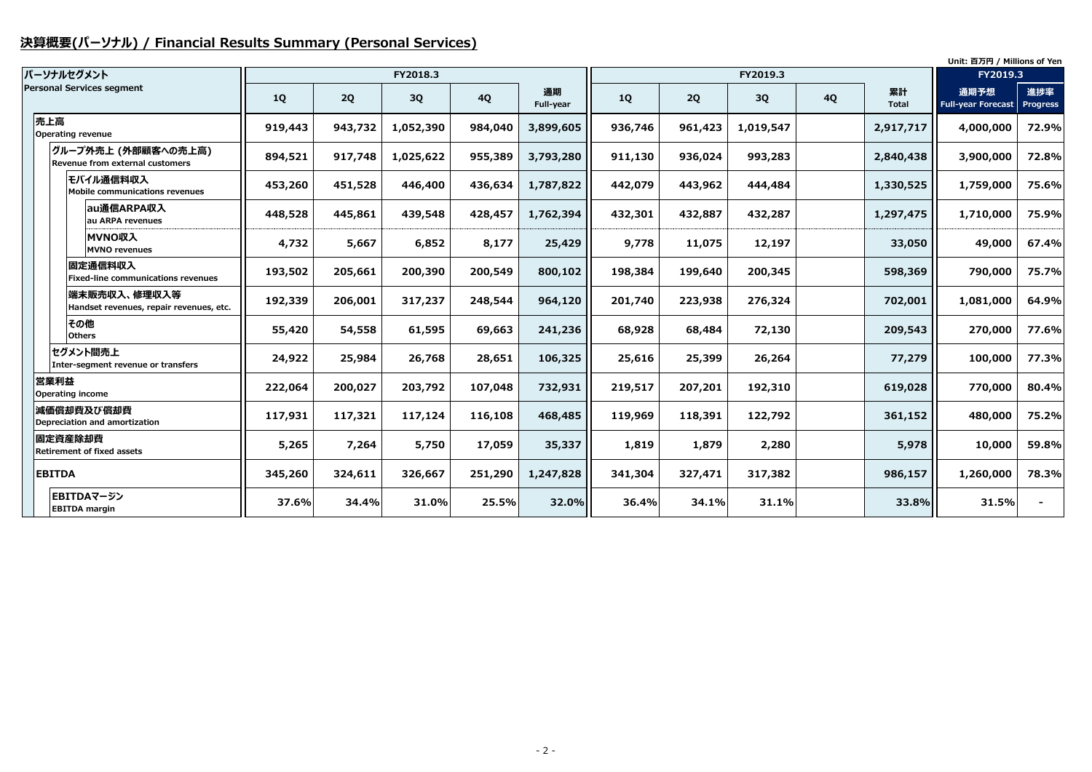# **決算概要(パーソナル) / Financial Results Summary (Personal Services)**

|                                                         |           |         |           |           |                 |         |         |           | Unit: 百万円 / Millions of Yen |                    |                                   |                        |
|---------------------------------------------------------|-----------|---------|-----------|-----------|-----------------|---------|---------|-----------|-----------------------------|--------------------|-----------------------------------|------------------------|
| パーソナルセグメント                                              |           |         | FY2018.3  |           |                 |         |         | FY2019.3  |                             |                    | FY2019.3                          |                        |
| <b>Personal Services segment</b>                        | <b>1Q</b> | 2Q      | 3Q        | <b>4Q</b> | 通期<br>Full-year | 1Q      | 2Q      | 3Q        | <b>4Q</b>                   | 累計<br><b>Total</b> | 通期予想<br><b>Full-year Forecast</b> | 進捗率<br><b>Progress</b> |
| 売上高<br><b>Operating revenue</b>                         | 919,443   | 943,732 | 1,052,390 | 984,040   | 3,899,605       | 936,746 | 961,423 | 1,019,547 |                             | 2,917,717          | 4,000,000                         | 72.9%                  |
| グループ外売上 (外部顧客への売上高)<br>Revenue from external customers  | 894,521   | 917,748 | 1,025,622 | 955,389   | 3,793,280       | 911,130 | 936,024 | 993,283   |                             | 2,840,438          | 3,900,000                         | 72.8%                  |
| モバイル通信料収入<br>Mobile communications revenues             | 453,260   | 451,528 | 446,400   | 436,634   | 1,787,822       | 442,079 | 443,962 | 444,484   |                             | 1,330,525          | 1,759,000                         | 75.6%                  |
| au通信ARPA収入<br>au ARPA revenues                          | 448,528   | 445,861 | 439,548   | 428,457   | 1,762,394       | 432,301 | 432,887 | 432,287   |                             | 1,297,475          | 1,710,000                         | 75.9%                  |
| MVNO収入<br><b>MVNO revenues</b>                          | 4,732     | 5,667   | 6,852     | 8,177     | 25,429          | 9,778   | 11,075  | 12,197    |                             | 33,050             | 49,000                            | 67.4%                  |
| 固定通信料収入<br><b>Fixed-line communications revenues</b>    | 193,502   | 205,661 | 200,390   | 200,549   | 800,102         | 198,384 | 199,640 | 200,345   |                             | 598,369            | 790,000                           | 75.7%                  |
| 端末販売収入、修理収入等<br>Handset revenues, repair revenues, etc. | 192,339   | 206,001 | 317,237   | 248,544   | 964,120         | 201,740 | 223,938 | 276,324   |                             | 702,001            | 1,081,000                         | 64.9%                  |
| その他<br><b>Others</b>                                    | 55,420    | 54,558  | 61,595    | 69,663    | 241,236         | 68,928  | 68,484  | 72,130    |                             | 209,543            | 270,000                           | 77.6%                  |
| セグメント間売上<br>Inter-segment revenue or transfers          | 24,922    | 25,984  | 26,768    | 28,651    | 106,325         | 25,616  | 25,399  | 26,264    |                             | 77,279             | 100,000                           | 77.3%                  |
| 営業利益<br><b>Operating income</b>                         | 222,064   | 200,027 | 203,792   | 107,048   | 732,931         | 219,517 | 207,201 | 192,310   |                             | 619,028            | 770,000                           | 80.4%                  |
| 減価償却費及び償却費<br>Depreciation and amortization             | 117,931   | 117,321 | 117,124   | 116,108   | 468,485         | 119,969 | 118,391 | 122,792   |                             | 361,152            | 480,000                           | 75.2%                  |
| 固定資産除却費<br><b>Retirement of fixed assets</b>            | 5,265     | 7,264   | 5,750     | 17,059    | 35,337          | 1,819   | 1,879   | 2,280     |                             | 5,978              | 10,000                            | 59.8%                  |
| <b>EBITDA</b>                                           | 345,260   | 324,611 | 326,667   | 251,290   | 1,247,828       | 341,304 | 327,471 | 317,382   |                             | 986,157            | 1,260,000                         | 78.3%                  |
| EBITDAマージン<br><b>EBITDA margin</b>                      | 37.6%     | 34.4%   | 31.0%     | 25.5%     | 32.0%           | 36.4%   | 34.1%   | 31.1%     |                             | 33.8%              | 31.5%                             |                        |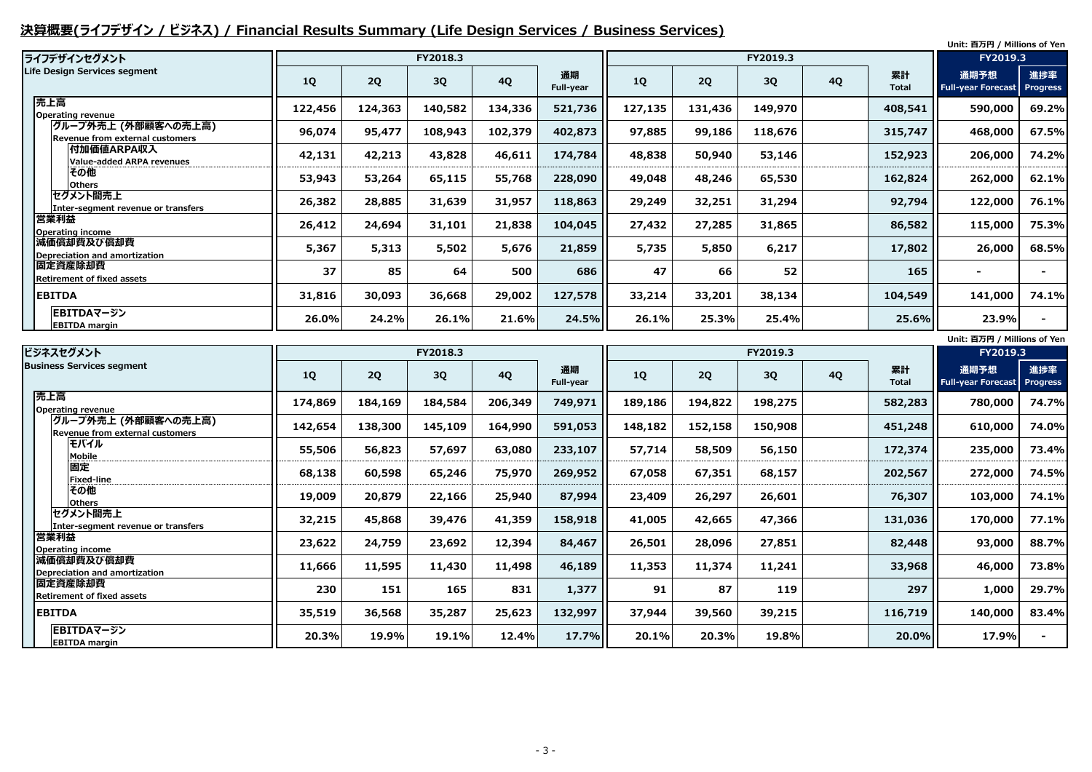# **決算概要(ライフデザイン / ビジネス) / Financial Results Summary (Life Design Services / Business Services)**

| ライフデザインセグメント                                           |           |         | FY2018.3 |           |                 |         |         | FY2019.3 |           |                    | Unit: 百万円 / Millions of Yen<br>FY2019.3 |                        |
|--------------------------------------------------------|-----------|---------|----------|-----------|-----------------|---------|---------|----------|-----------|--------------------|-----------------------------------------|------------------------|
| Life Design Services segment                           | <b>1Q</b> | 2Q      | 3Q       | <b>4Q</b> | 通期<br>Full-year | 1Q      | 2Q      | 3Q       | <b>4Q</b> | 累計<br><b>Total</b> | 通期予想<br><b>Full-year Forecast</b>       | 進捗率<br><b>Progress</b> |
| 売上高<br><b>Operating revenue</b>                        | 122,456   | 124,363 | 140,582  | 134,336   | 521,736         | 127,135 | 131,436 | 149,970  |           | 408,541            | 590,000                                 | 69.2%                  |
| グループ外売上 (外部顧客への売上高)<br>Revenue from external customers | 96,074    | 95,477  | 108,943  | 102,379   | 402,873         | 97,885  | 99,186  | 118,676  |           | 315,747            | 468,000                                 | 67.5%                  |
| <b> 付加価値ARPA収入</b><br><b>Value-added ARPA revenues</b> | 42,131    | 42,213  | 43,828   | 46,611    | 174,784         | 48,838  | 50,940  | 53,146   |           | 152,923            | 206,000                                 | 74.2%                  |
| その他<br><b>Others</b>                                   | 53,943    | 53,264  | 65,115   | 55,768    | 228,090         | 49,048  | 48,246  | 65,530   |           | 162,824            | 262,000                                 | 62.1%                  |
| セグメント間売上<br>Inter-segment revenue or transfers         | 26,382    | 28,885  | 31,639   | 31,957    | 118,863         | 29,249  | 32,251  | 31,294   |           | 92,794             | 122,000                                 | 76.1%                  |
| 営業利益<br><b>Operating income</b>                        | 26,412    | 24,694  | 31,101   | 21,838    | 104,045         | 27,432  | 27,285  | 31,865   |           | 86,582             | 115,000                                 | 75.3%                  |
| 減価償却費及び償却費<br>Depreciation and amortization            | 5,367     | 5,313   | 5,502    | 5,676     | 21,859          | 5,735   | 5,850   | 6,217    |           | 17,802             | 26,000                                  | 68.5%                  |
| 固定資産除却費<br><b>Retirement of fixed assets</b>           | 37        | 85      | 64       | 500       | 686             | 47      | 66      | 52       |           | 165                | $\blacksquare$                          |                        |
| <b>EBITDA</b>                                          | 31,816    | 30,093  | 36,668   | 29,002    | 127,578         | 33,214  | 33,201  | 38,134   |           | 104,549            | 141,000                                 | 74.1%                  |
| EBITDAマージン<br><b>EBITDA</b> margin                     | $26.0\%$  | 24.2%   | 26.1%    | 21.6%     | 24.5%           | 26.1%   | 25.3%   | 25.4%    |           | 25.6%              | 23.9%                                   |                        |
|                                                        |           |         |          |           |                 |         |         |          |           |                    | Unit: 百万円 / Millions of Yen             |                        |

| ビジネスセグメント                                                      |         |         | FY2018.3 |           |                        |         |         |         | FY2019.3  |                    |                                   |                        |
|----------------------------------------------------------------|---------|---------|----------|-----------|------------------------|---------|---------|---------|-----------|--------------------|-----------------------------------|------------------------|
| <b>Business Services segment</b>                               | 1Q      | 2Q      | 3Q       | <b>4Q</b> | 通期<br><b>Full-year</b> | 1Q      | 2Q      | 3Q      | <b>4Q</b> | 累計<br><b>Total</b> | 通期予想<br><b>Full-year Forecast</b> | 進捗率<br><b>Progress</b> |
| 売上高<br><b>Operating revenue</b>                                | 174,869 | 184,169 | 184,584  | 206,349   | 749,971                | 189,186 | 194,822 | 198,275 |           | 582,283            | 780,000                           | 74.7%                  |
| グループ外売上 (外部顧客への売上高) <br><b>Revenue from external customers</b> | 142,654 | 138,300 | 145,109  | 164,990   | 591,053                | 148,182 | 152,158 | 150,908 |           | 451,248            | 610,000                           | 74.0%                  |
| モバイル<br><b>Mobile</b>                                          | 55,506  | 56,823  | 57,697   | 63,080    | 233,107                | 57,714  | 58,509  | 56,150  |           | 172,374            | 235,000                           | 73.4%                  |
| 固定<br><b>Fixed-line</b>                                        | 68,138  | 60,598  | 65,246   | 75,970    | 269,952                | 67,058  | 67,351  | 68,157  |           | 202,567            | 272,000                           | 74.5%                  |
| その他<br><b>Others</b>                                           | 19,009  | 20,879  | 22,166   | 25,940    | 87,994                 | 23,409  | 26,297  | 26,601  |           | 76,307             | 103,000                           | 74.1%                  |
| セグメント間売上<br>Inter-segment revenue or transfers                 | 32,215  | 45,868  | 39,476   | 41,359    | 158,918                | 41,005  | 42,665  | 47,366  |           | 131,036            | 170,000                           | 77.1%                  |
| 営業利益<br>Operating income                                       | 23,622  | 24,759  | 23,692   | 12,394    | 84,467                 | 26,501  | 28,096  | 27,851  |           | 82,448             | 93,000                            | 88.7%                  |
| 減価償却費及び償却費<br>Depreciation and amortization                    | 11,666  | 11,595  | 11,430   | 11,498    | 46,189                 | 11,353  | 11,374  | 11,241  |           | 33,968             | 46,000                            | 73.8%                  |
| 固定資産除却費<br><b>Retirement of fixed assets</b>                   | 230     | 151     | 165      | 831       | 1,377                  | 91      | 87      | 119     |           | 297                | 1,000                             | 29.7%                  |
| <b>EBITDA</b>                                                  | 35,519  | 36,568  | 35,287   | 25,623    | 132,997                | 37,944  | 39,560  | 39,215  |           | 116,719            | 140,000                           | 83.4%                  |
| EBITDAマージン<br><b>EBITDA</b> margin                             | 20.3%   | 19.9%   | 19.1%    | 12.4%     | 17.7%                  | 20.1%   | 20.3%   | 19.8%   |           | 20.0%              | 17.9%                             |                        |

| UNIL: 日刀門 / MIIIIONS OF YEN |                           |                 |  |  |  |  |  |  |  |  |
|-----------------------------|---------------------------|-----------------|--|--|--|--|--|--|--|--|
|                             | FY2019.3                  |                 |  |  |  |  |  |  |  |  |
| ŀ                           | 通期予想                      | 進捗率             |  |  |  |  |  |  |  |  |
| ۱ı                          | <b>Full-year Forecast</b> | <b>Progress</b> |  |  |  |  |  |  |  |  |
| 283                         | 780,000                   | 74.7%           |  |  |  |  |  |  |  |  |
| 248                         | 610,000                   | 74.0%           |  |  |  |  |  |  |  |  |
| 374                         | 235,000                   | 73.4%           |  |  |  |  |  |  |  |  |
| 567                         | 272,000                   | 74.5%           |  |  |  |  |  |  |  |  |
| 307                         | 103,000                   | 74.1%           |  |  |  |  |  |  |  |  |
| 036                         | 170,000                   | 77.1%           |  |  |  |  |  |  |  |  |
| 448                         | 93,000                    | 88.7%           |  |  |  |  |  |  |  |  |
| 968                         | 46,000                    | 73.8%           |  |  |  |  |  |  |  |  |
| 297                         | 1,000                     | 29.7%           |  |  |  |  |  |  |  |  |
| 719                         | 140,000                   | 83.4%           |  |  |  |  |  |  |  |  |
| $0.0\%$                     | 17.9%                     |                 |  |  |  |  |  |  |  |  |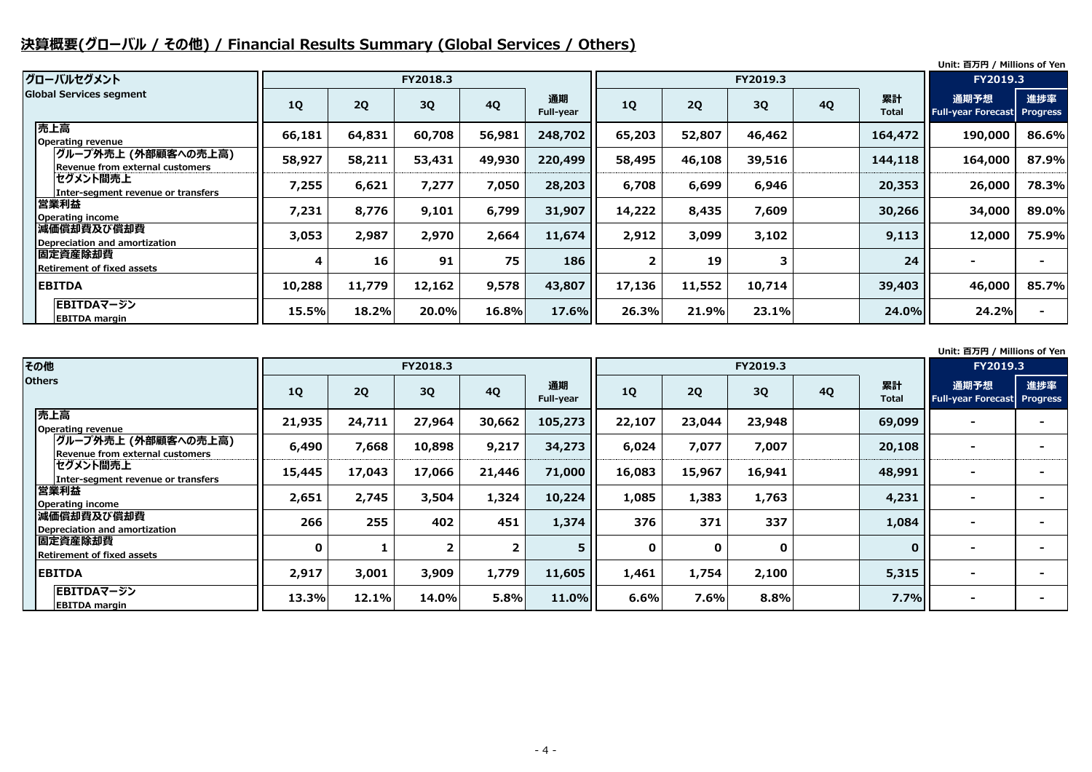# **決算概要(グローバル / その他) / Financial Results Summary (Global Services / Others)**

#### **Unit: 百万円 / Millions of Yen**

#### **Unit: 百万円 / Millions of Yen**

|                                                        |           |        |          |           |                 |        |        |          |           |                    | <u>onna 1991 i rinnons or ren</u>          |       |
|--------------------------------------------------------|-----------|--------|----------|-----------|-----------------|--------|--------|----------|-----------|--------------------|--------------------------------------------|-------|
| グローバルセグメント                                             |           |        | FY2018.3 |           |                 |        |        | FY2019.3 |           |                    | <b>FY2019.3</b>                            |       |
| <b>Global Services segment</b>                         | <b>1Q</b> | 2Q     | 3Q       | <b>4Q</b> | 通期<br>Full-year | 1Q     | 2Q     | 3Q       | <b>4Q</b> | 累計<br><b>Total</b> | 通期予想<br><b>Full-year Forecast Progress</b> | 進捗率   |
| 売上高<br>Operating revenue                               | 66,181    | 64,831 | 60,708   | 56,981    | 248,702         | 65,203 | 52,807 | 46,462   |           | 164,472            | 190,000                                    | 86.6% |
| グループ外売上 (外部顧客への売上高)<br>Revenue from external customers | 58,927    | 58,211 | 53,431   | 49,930    | 220,499         | 58,495 | 46,108 | 39,516   |           | 144,118            | 164,000                                    | 87.9% |
| セグメント間売上<br>Inter-segment revenue or transfers         | 7,255     | 6,621  | 7,277    | 7,050     | 28,203          | 6,708  | 6,699  | 6,946    |           | 20,353             | 26,000                                     | 78.3% |
| 営業利益<br>Operating income                               | 7,231     | 8,776  | 9,101    | 6,799     | 31,907          | 14,222 | 8,435  | 7,609    |           | 30,266             | 34,000                                     | 89.0% |
| 減価償却費及び償却費<br>Depreciation and amortization            | 3,053     | 2,987  | 2,970    | 2,664     | 11,674          | 2,912  | 3,099  | 3,102    |           | 9,113              | 12,000                                     | 75.9% |
| 固定資産除却費<br>Retirement of fixed assets                  | 4         | 16     | 91       | 75        | 186             |        | 19     | 3        |           | 24                 |                                            |       |
| <b>EBITDA</b>                                          | 10,288    | 11,779 | 12,162   | 9,578     | 43,807          | 17,136 | 11,552 | 10,714   |           | 39,403             | 46,000                                     | 85.7% |
| EBITDAマージン<br><b>EBITDA</b> margin                     | 15.5%     | 18.2%  | 20.0%    | 16.8%     | 17.6%           | 26.3%  | 21.9%  | 23.1%    |           | 24.0%              | 24.2%                                      |       |

| その他                                                    |              |        | FY2018.3 |                |                 |             |             | FY2019.3    |           |                    |                                        |    |
|--------------------------------------------------------|--------------|--------|----------|----------------|-----------------|-------------|-------------|-------------|-----------|--------------------|----------------------------------------|----|
| <b>Others</b>                                          | <b>1Q</b>    | 2Q     | 3Q       | <b>4Q</b>      | 通期<br>Full-year | 1Q          | 2Q          | 3Q          | <b>4Q</b> | 累計<br><b>Total</b> | 通期予想<br><b>Full-year Forecast Prog</b> | 進抄 |
| 売上高<br><b>Operating revenue</b>                        | 21,935       | 24,711 | 27,964   | 30,662         | 105,273         | 22,107      | 23,044      | 23,948      |           | 69,099             |                                        |    |
| グループ外売上 (外部顧客への売上高)<br>Revenue from external customers | 6,490        | 7,668  | 10,898   | 9,217          | 34,273          | 6,024       | 7,077       | 7,007       |           | 20,108             | $\overline{\phantom{a}}$               |    |
| セグメント間売上<br>Inter-segment revenue or transfers         | 15,445       | 17,043 | 17,066   | 21,446         | 71,000          | 16,083      | 15,967      | 16,941      |           | 48,991             |                                        |    |
| 営業利益<br><b>Operating income</b>                        | 2,651        | 2,745  | 3,504    | 1,324          | 10,224          | 1,085       | 1,383       | 1,763       |           | 4,231              |                                        |    |
| 減価償却費及び償却費<br><b>Depreciation and amortization</b>     | 266          | 255    | 402      | 451            | 1,374           | 376         | 371         | 337         |           | 1,084              |                                        |    |
| 固定資産除却費<br><b>Retirement of fixed assets</b>           | $\mathbf{0}$ |        |          | 2 <sup>1</sup> | 5.              | $\mathbf 0$ | $\mathbf 0$ | $\mathbf 0$ |           | $\mathbf{0}$       |                                        |    |
| <b>EBITDA</b>                                          | 2,917        | 3,001  | 3,909    | 1,779          | 11,605          | 1,461       | 1,754       | 2,100       |           | 5,315              |                                        |    |
| EBITDAマージン<br><b>EBITDA margin</b>                     | 13.3%        | 12.1%  | 14.0%    | 5.8%           | 11.0%           | 6.6%        | 7.6%        | 8.8%        |           | 7.7%               |                                        |    |

|                         | FY2019.3                          |                        |
|-------------------------|-----------------------------------|------------------------|
| 累計<br>otal <sup>.</sup> | 通期予想<br><b>Full-year Forecast</b> | 進捗率<br><b>Progress</b> |
| 9,099                   |                                   |                        |
| 0,108                   |                                   |                        |
| 8,991                   |                                   |                        |
| 4,231                   |                                   |                        |
| 1,084                   |                                   |                        |
| $\mathbf 0$             |                                   |                        |
| 5,315                   |                                   |                        |
| 7.7%                    |                                   |                        |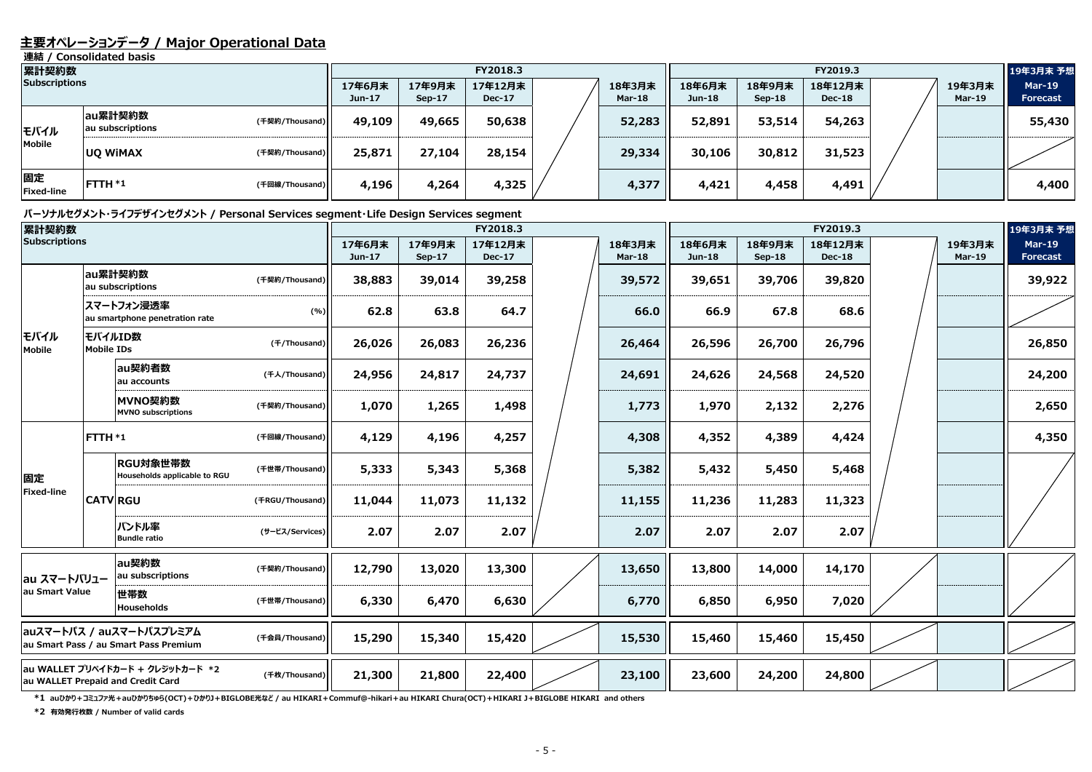### **主要オペレーションデータ / Major Operational Data**

**連結 / Consolidated basis**

#### **パーソナルセグメント・ライフデザインセグメント / Personal Services segment・Life Design Services segment**

| 累計契約数                   |                             |                |                    | FY2018.3           |                          | FY2019.3                |                    |                    |                          |  | 19年3月末 予想               |                                  |
|-------------------------|-----------------------------|----------------|--------------------|--------------------|--------------------------|-------------------------|--------------------|--------------------|--------------------------|--|-------------------------|----------------------------------|
| <b>Subscriptions</b>    |                             |                | 17年6月末<br>$Jun-17$ | 17年9月末<br>$Sep-17$ | 17年12月末<br><b>Dec-17</b> | 18年3月末<br><b>Mar-18</b> | 18年6月末<br>$Jun-18$ | 18年9月末<br>$Sep-18$ | 18年12月末<br><b>Dec-18</b> |  | 19年3月末<br><b>Mar-19</b> | <b>Mar-19</b><br><b>Forecast</b> |
| モバイル                    | au累計契約数<br>au subscriptions | (千契約/Thousand) | 49,109             | 49,665             | 50,638                   | 52,283                  | 52,891             | 53,514             | 54,263                   |  |                         | 55,430                           |
| Mobile                  | <b>UQ WIMAX</b>             | (千契約/Thousand) | 25,871             | 27,104             | 28,154                   | 29,334                  | 30,106             | 30,812             | 31,523                   |  |                         |                                  |
| 固定<br><b>Fixed-line</b> | <b>FTTH *1</b>              | (千回線/Thousand) | 4,196              | 4,264              | 4,325                    | 4,377                   | 4,421              | 4,458              | 4,491                    |  |                         | 4,400                            |

**\*1 auひかり+コミュファ光+auひかりちゅら(OCT)+ひかりJ+BIGLOBE光など / au HIKARI+Commuf@-hikari+au HIKARI Chura(OCT)+HIKARI J+BIGLOBE HIKARI and others**

| 累計契約数<br><b>Subscriptions</b> |                   |                                                                       |                 |                  |                         | FY2018.3                 |                         | FY2019.3         |                         |                          |  |                         | 19年3月末 予想                        |
|-------------------------------|-------------------|-----------------------------------------------------------------------|-----------------|------------------|-------------------------|--------------------------|-------------------------|------------------|-------------------------|--------------------------|--|-------------------------|----------------------------------|
|                               |                   |                                                                       |                 | 17年6月末<br>Jun-17 | 17年9月末<br><b>Sep-17</b> | 17年12月末<br><b>Dec-17</b> | 18年3月末<br><b>Mar-18</b> | 18年6月末<br>Jun-18 | 18年9月末<br><b>Sep-18</b> | 18年12月末<br><b>Dec-18</b> |  | 19年3月末<br><b>Mar-19</b> | <b>Mar-19</b><br><b>Forecast</b> |
|                               |                   | au累計契約数<br>au subscriptions                                           | (千契約/Thousand)  | 38,883           | 39,014                  | 39,258                   | 39,572                  | 39,651           | 39,706                  | 39,820                   |  |                         | 39,922                           |
|                               |                   | スマートフォン浸透率<br>au smartphone penetration rate                          | (%)             | 62.8             | 63.8                    | 64.7                     | 66.0                    | 66.9             | 67.8                    | 68.6                     |  |                         |                                  |
| モバイル<br>Mobile                | <b>Mobile IDs</b> | モバイルID数                                                               | (f/Thousand)    | 26,026           | 26,083                  | 26,236                   | 26,464                  | 26,596           | 26,700                  | 26,796                   |  |                         | 26,850                           |
|                               |                   | au契約者数<br>au accounts                                                 | (千人/Thousand)   | 24,956           | 24,817                  | 24,737                   | 24,691                  | 24,626           | 24,568                  | 24,520                   |  |                         | 24,200                           |
|                               |                   | MVNO契約数<br><b>MVNO</b> subscriptions                                  | (千契約/Thousand)  | 1,070            | 1,265                   | 1,498                    | 1,773                   | 1,970            | 2,132                   | 2,276                    |  |                         | 2,650                            |
|                               | FTTH *1           |                                                                       | (千回線/Thousand)  | 4,129            | 4,196                   | 4,257                    | 4,308                   | 4,352            | 4,389                   | 4,424                    |  |                         | 4,350                            |
| 固定                            |                   | RGU対象世帯数<br>Households applicable to RGU                              | (千世帯/Thousand)  | 5,333            | 5,343                   | 5,368                    | 5,382                   | 5,432            | 5,450                   | 5,468                    |  |                         |                                  |
| <b>Fixed-line</b>             |                   | <b>CATV RGU</b>                                                       | (FRGU/Thousand) | 11,044           | 11,073                  | 11,132                   | 11,155                  | 11,236           | 11,283                  | 11,323                   |  |                         |                                  |
|                               |                   | バンドル率<br><b>Bundle ratio</b>                                          | (サービス/Services) | 2.07             | 2.07                    | 2.07                     | 2.07                    | 2.07             | 2.07                    | 2.07                     |  |                         |                                  |
| au スマートバリュー                   |                   | au契約数<br>au subscriptions                                             | (千契約/Thousand)  | 12,790           | 13,020                  | 13,300                   | 13,650                  | 13,800           | 14,000                  | 14,170                   |  |                         |                                  |
| au Smart Value                |                   | 世帯数<br>Households                                                     | (千世帯/Thousand)  | 6,330            | 6,470                   | 6,630                    | 6,770                   | 6,850            | 6,950                   | 7,020                    |  |                         |                                  |
|                               |                   | auスマートパス / auスマートパスプレミアム<br>au Smart Pass / au Smart Pass Premium     | (千会員/Thousand)  | 15,290           | 15,340                  | 15,420                   | 15,530                  | 15,460           | 15,460                  | 15,450                   |  |                         |                                  |
|                               |                   | au WALLET プリペイドカード + クレジットカード *2<br>au WALLET Prepaid and Credit Card | (千枚/Thousand)   | 21,300           | 21,800                  | 22,400                   | 23,100                  | 23,600           | 24,200                  | 24,800                   |  |                         |                                  |

**\*2 有効発行枚数 / Number of valid cards**

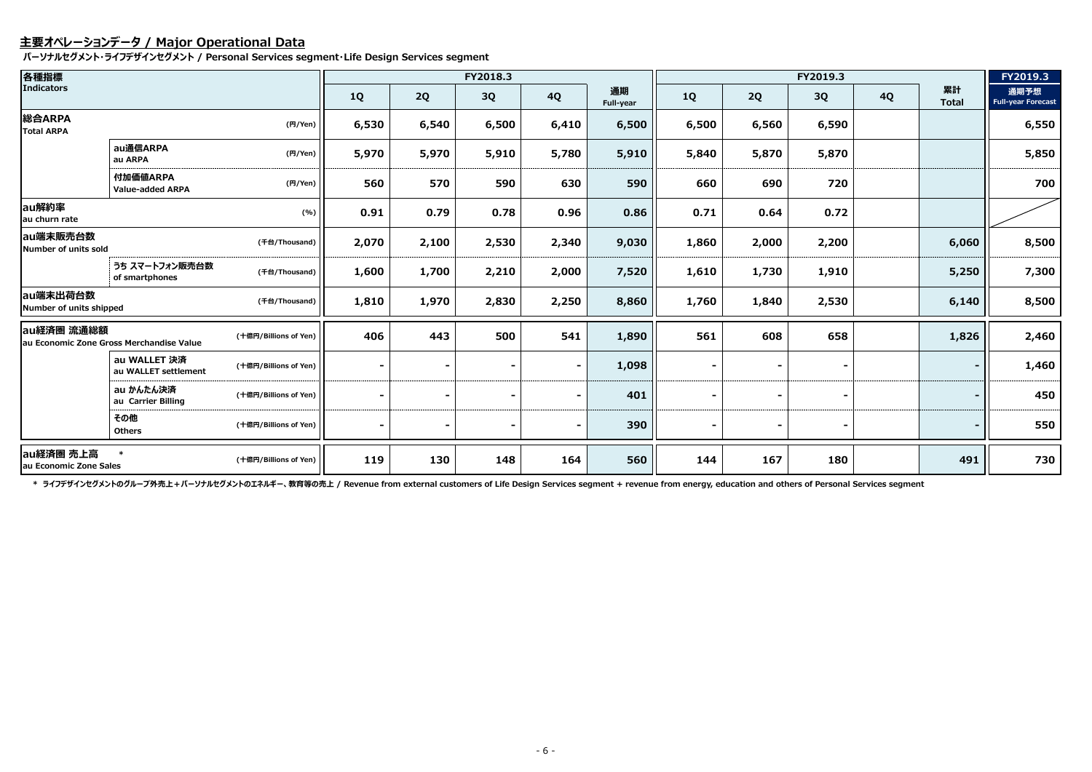### **主要オペレーションデータ / Major Operational Data**

**パーソナルセグメント・ライフデザインセグメント / Personal Services segment・Life Design Services segment**

| 各種指標                                |                                          |                       |           |                | FY2018.3 |                |                 |           |                | FY2019.3 |           |                    | FY2019.3                          |
|-------------------------------------|------------------------------------------|-----------------------|-----------|----------------|----------|----------------|-----------------|-----------|----------------|----------|-----------|--------------------|-----------------------------------|
| <b>Indicators</b>                   |                                          |                       | <b>1Q</b> | 2Q             | 3Q       | <b>4Q</b>      | 通期<br>Full-year | <b>1Q</b> | 2Q             | 3Q       | <b>4Q</b> | 累計<br><b>Total</b> | 通期予想<br><b>Full-year Forecast</b> |
| 総合ARPA<br><b>Total ARPA</b>         |                                          | (円/Yen)               | 6,530     | 6,540          | 6,500    | 6,410          | 6,500           | 6,500     | 6,560          | 6,590    |           |                    | 6,550                             |
|                                     | au通信ARPA<br>au ARPA                      | (H/Yen)               | 5,970     | 5,970          | 5,910    | 5,780          | 5,910           | 5,840     | 5,870          | 5,870    |           |                    | 5,850                             |
|                                     | 付加価値ARPA<br><b>Value-added ARPA</b>      | (H/Yen)               | 560       | 570            | 590      | 630            | 590             | 660       | 690            | 720      |           |                    | 700                               |
| au解約率<br>au churn rate              |                                          | (%)                   | 0.91      | 0.79           | 0.78     | 0.96           | 0.86            | 0.71      | 0.64           | 0.72     |           |                    |                                   |
| lau端末販売台数<br>Number of units sold   |                                          | (千台/Thousand)         | 2,070     | 2,100          | 2,530    | 2,340          | 9,030           | 1,860     | 2,000          | 2,200    |           | 6,060              | 8,500                             |
|                                     | うち スマートフォン販売台数<br>of smartphones         | (千台/Thousand)         | 1,600     | 1,700          | 2,210    | 2,000          | 7,520           | 1,610     | 1,730          | 1,910    |           | 5,250              | 7,300                             |
| au端末出荷台数<br>Number of units shipped |                                          | (千台/Thousand)         | 1,810     | 1,970          | 2,830    | 2,250          | 8,860           | 1,760     | 1,840          | 2,530    |           | 6,140              | 8,500                             |
| au経済圏 流通総額                          | au Economic Zone Gross Merchandise Value | (十億円/Billions of Yen) | 406       | 443            | 500      | 541            | 1,890           | 561       | 608            | 658      |           | 1,826              | 2,460                             |
|                                     | au WALLET 決済<br>au WALLET settlement     | (十億円/Billions of Yen) |           |                |          | $\blacksquare$ | 1,098           |           |                |          |           |                    | 1,460                             |
|                                     | au かんたん決済<br>au Carrier Billing          | (十億円/Billions of Yen) |           |                |          |                | 401             |           |                |          |           |                    | 450                               |
|                                     | その他<br><b>Others</b>                     | (十億円/Billions of Yen) |           | $\blacksquare$ |          | $\blacksquare$ | 390             |           | $\blacksquare$ |          |           |                    | 550                               |
| au経済圏 売上高<br>au Economic Zone Sales |                                          | (十億円/Billions of Yen) | 119       | 130            | 148      | 164            | 560             | 144       | 167            | 180      |           | 491                | 730                               |

\* ライフデザインセグメントのグループ外売上 + パーソナルセグメントのエネルギー、教育等の売上 / Revenue from external customers of Life Design Services segment + revenue from energy, education and others of Personal Services segment